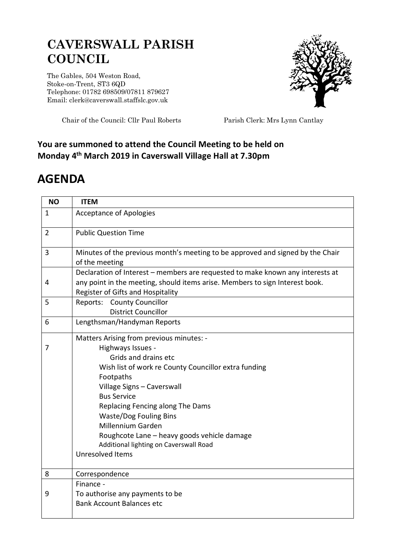## **CAVERSWALL PARISH COUNCIL**

The Gables, 504 Weston Road, Stoke-on-Trent, ST3 6QD Telephone: 01782 698509/07811 879627 Email: clerk@caverswall.staffslc.gov.uk



Chair of the Council: Cllr Paul Roberts Parish Clerk: Mrs Lynn Cantlay

## **You are summoned to attend the Council Meeting to be held on Monday 4 th March 2019 in Caverswall Village Hall at 7.30pm**

## **AGENDA**

| <b>NO</b>      | <b>ITEM</b>                                                                                                                                                                                                                                                                                                                                                                                                                  |
|----------------|------------------------------------------------------------------------------------------------------------------------------------------------------------------------------------------------------------------------------------------------------------------------------------------------------------------------------------------------------------------------------------------------------------------------------|
| 1              | <b>Acceptance of Apologies</b>                                                                                                                                                                                                                                                                                                                                                                                               |
| $\overline{2}$ | <b>Public Question Time</b>                                                                                                                                                                                                                                                                                                                                                                                                  |
| 3              | Minutes of the previous month's meeting to be approved and signed by the Chair<br>of the meeting                                                                                                                                                                                                                                                                                                                             |
| 4              | Declaration of Interest - members are requested to make known any interests at<br>any point in the meeting, should items arise. Members to sign Interest book.<br>Register of Gifts and Hospitality                                                                                                                                                                                                                          |
| 5              | <b>Reports: County Councillor</b><br><b>District Councillor</b>                                                                                                                                                                                                                                                                                                                                                              |
| 6              | Lengthsman/Handyman Reports                                                                                                                                                                                                                                                                                                                                                                                                  |
| 7              | Matters Arising from previous minutes: -<br>Highways Issues -<br>Grids and drains etc<br>Wish list of work re County Councillor extra funding<br>Footpaths<br>Village Signs - Caverswall<br><b>Bus Service</b><br>Replacing Fencing along The Dams<br><b>Waste/Dog Fouling Bins</b><br><b>Millennium Garden</b><br>Roughcote Lane - heavy goods vehicle damage<br>Additional lighting on Caverswall Road<br>Unresolved Items |
| 8              | Correspondence                                                                                                                                                                                                                                                                                                                                                                                                               |
| 9              | Finance -<br>To authorise any payments to be<br><b>Bank Account Balances etc</b>                                                                                                                                                                                                                                                                                                                                             |